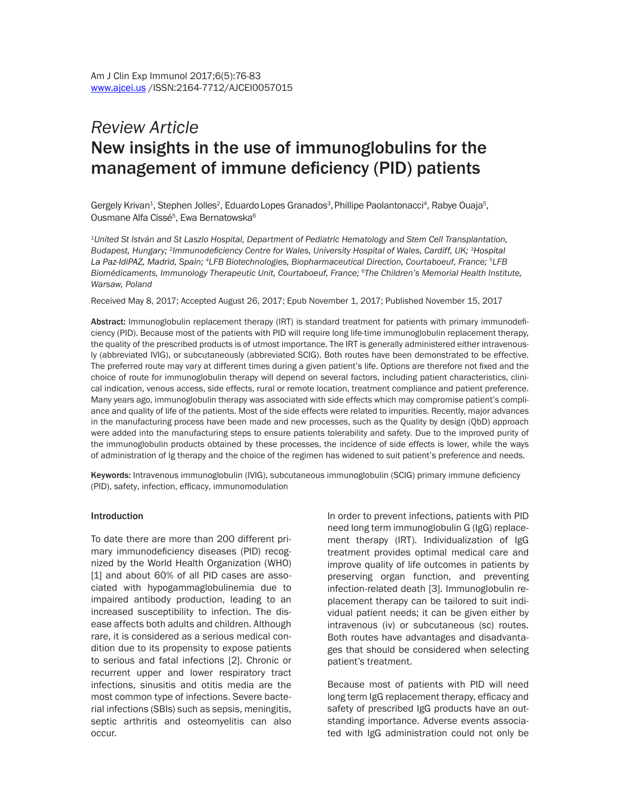# *Review Article* New insights in the use of immunoglobulins for the management of immune deficiency (PID) patients

Gergely Krivan<sup>1</sup>, Stephen Jolles<sup>2</sup>, Eduardo Lopes Granados<sup>3</sup>, Phillipe Paolantonacci<sup>4</sup>, Rabye Ouaja<sup>5</sup>, Ousmane Alfa Cissé<sup>5</sup>, Ewa Bernatowska<sup>6</sup>

*1United St István and St Laszlo Hospital, Department of Pediatric Hematology and Stem Cell Transplantation, Budapest, Hungary; <sup>2</sup>Immunodeficiency Centre for Wales, University Hospital of Wales, Cardiff, UK; <sup>3</sup>Hospital La Paz-IdiPAZ, Madrid, Spain; 4LFB Biotechnologies, Biopharmaceutical Direction, Courtaboeuf, France; 5LFB Biomédicaments, Immunology Therapeutic Unit, Courtaboeuf, France; 6The Children's Memorial Health Institute, Warsaw, Poland*

Received May 8, 2017; Accepted August 26, 2017; Epub November 1, 2017; Published November 15, 2017

Abstract: Immunoglobulin replacement therapy (IRT) is standard treatment for patients with primary immunodeficiency (PID). Because most of the patients with PID will require long life-time immunoglobulin replacement therapy, the quality of the prescribed products is of utmost importance. The IRT is generally administered either intravenously (abbreviated IVIG), or subcutaneously (abbreviated SCIG). Both routes have been demonstrated to be effective. The preferred route may vary at different times during a given patient's life. Options are therefore not fixed and the choice of route for immunoglobulin therapy will depend on several factors, including patient characteristics, clinical indication, venous access, side effects, rural or remote location, treatment compliance and patient preference. Many years ago, immunoglobulin therapy was associated with side effects which may compromise patient's compliance and quality of life of the patients. Most of the side effects were related to impurities. Recently, major advances in the manufacturing process have been made and new processes, such as the Quality by design (QbD) approach were added into the manufacturing steps to ensure patients tolerability and safety. Due to the improved purity of the immunoglobulin products obtained by these processes, the incidence of side effects is lower, while the ways of administration of Ig therapy and the choice of the regimen has widened to suit patient's preference and needs.

Keywords: Intravenous immunoglobulin (IVIG), subcutaneous immunoglobulin (SCIG) primary immune deficiency (PID), safety, infection, efficacy, immunomodulation

#### Introduction

To date there are more than 200 different primary immunodeficiency diseases (PID) recognized by the World Health Organization (WHO) [1] and about 60% of all PID cases are associated with hypogammaglobulinemia due to impaired antibody production, leading to an increased susceptibility to infection. The disease affects both adults and children. Although rare, it is considered as a serious medical condition due to its propensity to expose patients to serious and fatal infections [2]. Chronic or recurrent upper and lower respiratory tract infections, sinusitis and otitis media are the most common type of infections. Severe bacterial infections (SBIs) such as sepsis, meningitis, septic arthritis and osteomyelitis can also occur.

In order to prevent infections, patients with PID need long term immunoglobulin G (IgG) replacement therapy (IRT). Individualization of IgG treatment provides optimal medical care and improve quality of life outcomes in patients by preserving organ function, and preventing infection-related death [3]. Immunoglobulin replacement therapy can be tailored to suit individual patient needs; it can be given either by intravenous (iv) or subcutaneous (sc) routes. Both routes have advantages and disadvantages that should be considered when selecting patient's treatment.

Because most of patients with PID will need long term IgG replacement therapy, efficacy and safety of prescribed IgG products have an outstanding importance. Adverse events associated with IgG administration could not only be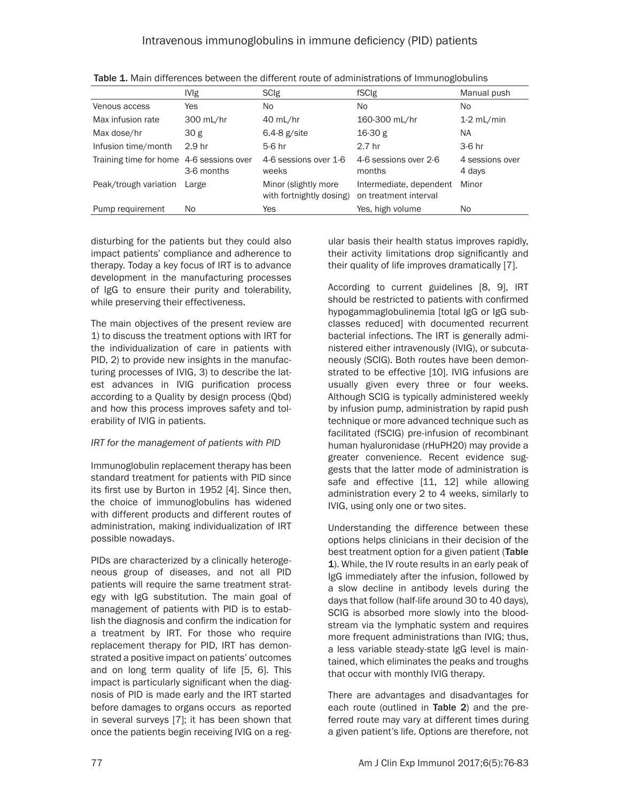|                                          | <b>IVIg</b>       | <b>SCIg</b>                                      | fSCIg                                            | Manual push               |
|------------------------------------------|-------------------|--------------------------------------------------|--------------------------------------------------|---------------------------|
| Venous access                            | Yes               | No.                                              | No.                                              | No                        |
| Max infusion rate                        | 300 mL/hr         | 40 mL/hr                                         | 160-300 mL/hr                                    | $1-2$ mL/min              |
| Max dose/hr                              | 30 g              | $6.4-8$ g/site                                   | 16-30 g                                          | NA.                       |
| Infusion time/month                      | 2.9 <sub>hr</sub> | 5-6 hr                                           | 2.7 <sub>hr</sub>                                | 3-6 hr                    |
| Training time for home 4-6 sessions over | 3-6 months        | 4-6 sessions over 1-6<br>weeks                   | 4-6 sessions over 2-6<br>months                  | 4 sessions over<br>4 days |
| Peak/trough variation                    | Large             | Minor (slightly more<br>with fortnightly dosing) | Intermediate, dependent<br>on treatment interval | Minor                     |
| Pump requirement                         | No.               | Yes                                              | Yes, high volume                                 | No.                       |

Table 1. Main differences between the different route of administrations of Immunoglobulins

disturbing for the patients but they could also impact patients' compliance and adherence to therapy. Today a key focus of IRT is to advance development in the manufacturing processes of IgG to ensure their purity and tolerability, while preserving their effectiveness.

The main objectives of the present review are 1) to discuss the treatment options with IRT for the individualization of care in patients with PID, 2) to provide new insights in the manufacturing processes of IVIG, 3) to describe the latest advances in IVIG purification process according to a Quality by design process (Qbd) and how this process improves safety and tolerability of IVIG in patients.

# *IRT for the management of patients with PID*

Immunoglobulin replacement therapy has been standard treatment for patients with PID since its first use by Burton in 1952 [4]. Since then, the choice of immunoglobulins has widened with different products and different routes of administration, making individualization of IRT possible nowadays.

PIDs are characterized by a clinically heterogeneous group of diseases, and not all PID patients will require the same treatment strategy with IgG substitution. The main goal of management of patients with PID is to establish the diagnosis and confirm the indication for a treatment by IRT. For those who require replacement therapy for PID, IRT has demonstrated a positive impact on patients' outcomes and on long term quality of life [5, 6]. This impact is particularly significant when the diagnosis of PID is made early and the IRT started before damages to organs occurs as reported in several surveys [7]; it has been shown that once the patients begin receiving IVIG on a regular basis their health status improves rapidly, their activity limitations drop significantly and their quality of life improves dramatically [7].

According to current guidelines [8, 9], IRT should be restricted to patients with confirmed hypogammaglobulinemia [total IgG or IgG subclasses reduced] with documented recurrent bacterial infections. The IRT is generally administered either intravenously (IVIG), or subcutaneously (SCIG). Both routes have been demonstrated to be effective [10]. IVIG infusions are usually given every three or four weeks. Although SCIG is typically administered weekly by infusion pump, administration by rapid push technique or more advanced technique such as facilitated (fSCIG) pre-infusion of recombinant human hyaluronidase (rHuPH20) may provide a greater convenience. Recent evidence suggests that the latter mode of administration is safe and effective [11, 12] while allowing administration every 2 to 4 weeks, similarly to IVIG, using only one or two sites.

Understanding the difference between these options helps clinicians in their decision of the best treatment option for a given patient (Table 1). While, the IV route results in an early peak of IgG immediately after the infusion, followed by a slow decline in antibody levels during the days that follow (half-life around 30 to 40 days), SCIG is absorbed more slowly into the bloodstream via the lymphatic system and requires more frequent administrations than IVIG; thus, a less variable steady-state IgG level is maintained, which eliminates the peaks and troughs that occur with monthly IVIG therapy.

There are advantages and disadvantages for each route (outlined in Table 2) and the preferred route may vary at different times during a given patient's life. Options are therefore, not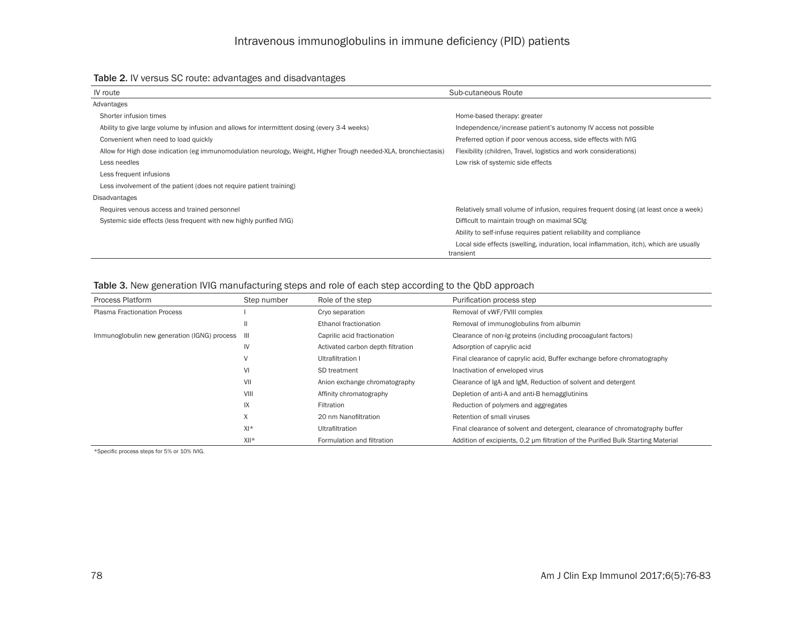| IV route                                                                                                         | Sub-cutaneous Route                                                                                 |
|------------------------------------------------------------------------------------------------------------------|-----------------------------------------------------------------------------------------------------|
| Advantages                                                                                                       |                                                                                                     |
| Shorter infusion times                                                                                           | Home-based therapy: greater                                                                         |
| Ability to give large volume by infusion and allows for intermittent dosing (every 3-4 weeks)                    | Independence/increase patient's autonomy IV access not possible                                     |
| Convenient when need to load quickly                                                                             | Preferred option if poor venous access, side effects with IVIG                                      |
| Allow for High dose indication (eg immunomodulation neurology, Weight, Higher Trough needed-XLA, bronchiectasis) | Flexibility (children, Travel, logistics and work considerations)                                   |
| Less needles                                                                                                     | Low risk of systemic side effects                                                                   |
| Less frequent infusions                                                                                          |                                                                                                     |
| Less involvement of the patient (does not require patient training)                                              |                                                                                                     |
| Disadvantages                                                                                                    |                                                                                                     |
| Requires venous access and trained personnel                                                                     | Relatively small volume of infusion, requires frequent dosing (at least once a week)                |
| Systemic side effects (less frequent with new highly purified IVIG)                                              | Difficult to maintain trough on maximal SCIg                                                        |
|                                                                                                                  | Ability to self-infuse requires patient reliability and compliance                                  |
|                                                                                                                  | Local side effects (swelling, induration, local inflammation, itch), which are usually<br>transient |

# Table 3. New generation IVIG manufacturing steps and role of each step according to the QbD approach

| <b>Process Platform</b>                          | Step number | Role of the step                  | Purification process step                                                        |
|--------------------------------------------------|-------------|-----------------------------------|----------------------------------------------------------------------------------|
| <b>Plasma Fractionation Process</b>              |             | Cryo separation                   | Removal of vWF/FVIII complex                                                     |
|                                                  |             | Ethanol fractionation             | Removal of immunoglobulins from albumin                                          |
| Immunoglobulin new generation (IGNG) process III |             | Caprilic acid fractionation       | Clearance of non-lg proteins (including procoagulant factors)                    |
|                                                  | IV          | Activated carbon depth filtration | Adsorption of caprylic acid                                                      |
|                                                  | V           | Ultrafiltration I                 | Final clearance of caprylic acid, Buffer exchange before chromatography          |
|                                                  | VI          | SD treatment                      | Inactivation of enveloped virus                                                  |
|                                                  | VII         | Anion exchange chromatography     | Clearance of IgA and IgM, Reduction of solvent and detergent                     |
|                                                  | VIII        | Affinity chromatography           | Depletion of anti-A and anti-B hemagglutinins                                    |
|                                                  | IX          | Filtration                        | Reduction of polymers and aggregates                                             |
|                                                  | Χ           | 20 nm Nanofiltration              | Retention of small viruses                                                       |
|                                                  | $X$  *      | Ultrafiltration                   | Final clearance of solvent and detergent, clearance of chromatography buffer     |
|                                                  | $XII*$      | Formulation and filtration        | Addition of excipients, 0.2 µm filtration of the Purified Bulk Starting Material |

\*Specific process steps for 5% or 10% IVIG.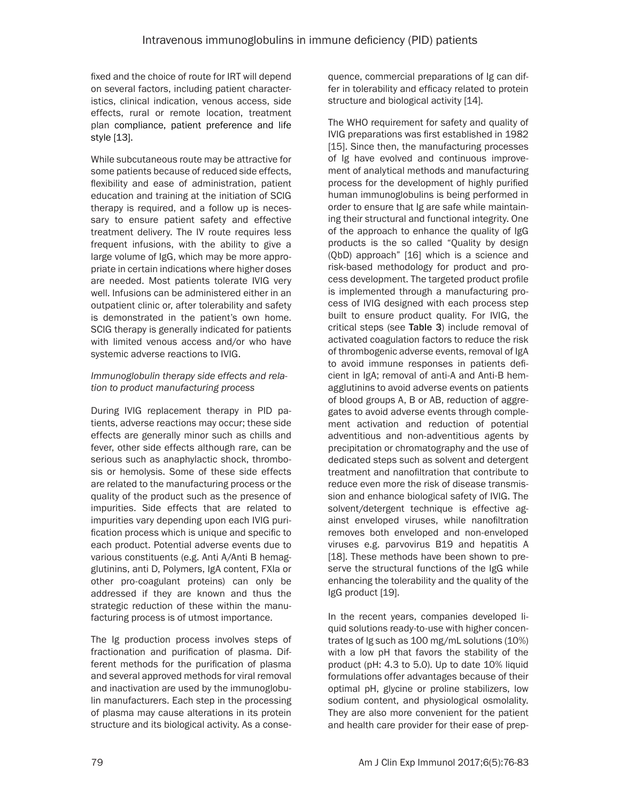fixed and the choice of route for IRT will depend on several factors, including patient characteristics, clinical indication, venous access, side effects, rural or remote location, treatment plan compliance, patient preference and life style [13].

While subcutaneous route may be attractive for some patients because of reduced side effects, flexibility and ease of administration, patient education and training at the initiation of SCIG therapy is required, and a follow up is necessary to ensure patient safety and effective treatment delivery. The IV route requires less frequent infusions, with the ability to give a large volume of IgG, which may be more appropriate in certain indications where higher doses are needed. Most patients tolerate IVIG very well. Infusions can be administered either in an outpatient clinic or, after tolerability and safety is demonstrated in the patient's own home. SCIG therapy is generally indicated for patients with limited venous access and/or who have systemic adverse reactions to IVIG.

# *Immunoglobulin therapy side effects and relation to product manufacturing process*

During IVIG replacement therapy in PID patients, adverse reactions may occur; these side effects are generally minor such as chills and fever, other side effects although rare, can be serious such as anaphylactic shock, thrombosis or hemolysis. Some of these side effects are related to the manufacturing process or the quality of the product such as the presence of impurities. Side effects that are related to impurities vary depending upon each IVIG purification process which is unique and specific to each product. Potential adverse events due to various constituents (e.g. Anti A/Anti B hemagglutinins, anti D, Polymers, IgA content, FXIa or other pro-coagulant proteins) can only be addressed if they are known and thus the strategic reduction of these within the manufacturing process is of utmost importance.

The Ig production process involves steps of fractionation and purification of plasma. Different methods for the purification of plasma and several approved methods for viral removal and inactivation are used by the immunoglobulin manufacturers. Each step in the processing of plasma may cause alterations in its protein structure and its biological activity. As a consequence, commercial preparations of Ig can differ in tolerability and efficacy related to protein structure and biological activity [14].

The WHO requirement for safety and quality of IVIG preparations was first established in 1982 [15]. Since then, the manufacturing processes of Ig have evolved and continuous improvement of analytical methods and manufacturing process for the development of highly purified human immunoglobulins is being performed in order to ensure that Ig are safe while maintaining their structural and functional integrity. One of the approach to enhance the quality of IgG products is the so called "Quality by design (QbD) approach" [16] which is a science and risk-based methodology for product and process development. The targeted product profile is implemented through a manufacturing process of IVIG designed with each process step built to ensure product quality. For IVIG, the critical steps (see Table 3) include removal of activated coagulation factors to reduce the risk of thrombogenic adverse events, removal of IgA to avoid immune responses in patients deficient in IgA; removal of anti-A and Anti-B hemagglutinins to avoid adverse events on patients of blood groups A, B or AB, reduction of aggregates to avoid adverse events through complement activation and reduction of potential adventitious and non-adventitious agents by precipitation or chromatography and the use of dedicated steps such as solvent and detergent treatment and nanofiltration that contribute to reduce even more the risk of disease transmission and enhance biological safety of IVIG. The solvent/detergent technique is effective against enveloped viruses, while nanofiltration removes both enveloped and non-enveloped viruses e.g. parvovirus B19 and hepatitis A [18]. These methods have been shown to preserve the structural functions of the IgG while enhancing the tolerability and the quality of the IgG product [19].

In the recent years, companies developed liquid solutions ready-to-use with higher concentrates of Ig such as 100 mg/mL solutions (10%) with a low pH that favors the stability of the product (pH: 4.3 to 5.0). Up to date 10% liquid formulations offer advantages because of their optimal pH, glycine or proline stabilizers, low sodium content, and physiological osmolality. They are also more convenient for the patient and health care provider for their ease of prep-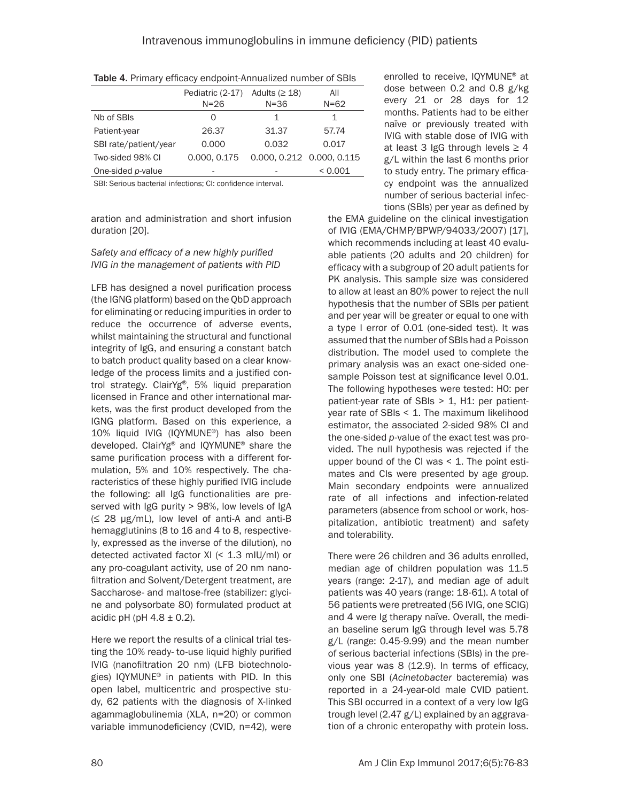|                                                                      | Pediatric (2-17) | Adults ( $\geq$ 18)       | All      |  |
|----------------------------------------------------------------------|------------------|---------------------------|----------|--|
|                                                                      | $N = 26$         | $N = 36$                  | $N = 62$ |  |
| Nb of SBIs                                                           | O                | 1                         | 1        |  |
| Patient-year                                                         | 26.37            | 31.37                     | 57.74    |  |
| SBI rate/patient/year                                                | 0.000            | 0.032                     | 0.017    |  |
| Two-sided 98% CI                                                     | 0.000, 0.175     | 0.000. 0.212 0.000. 0.115 |          |  |
| One-sided <i>p</i> -value                                            |                  |                           | < 0.001  |  |
| ODL Oradinary learned at the cattering of the confidence of the most |                  |                           |          |  |

SBI: Serious bacterial infections; CI: confidence interval.

aration and administration and short infusion duration [20].

# *Safety and efficacy of a new highly purified IVIG in the management of patients with PID*

LFB has designed a novel purification process (the IGNG platform) based on the QbD approach for eliminating or reducing impurities in order to reduce the occurrence of adverse events, whilst maintaining the structural and functional integrity of IgG, and ensuring a constant batch to batch product quality based on a clear knowledge of the process limits and a justified control strategy. ClairYg®, 5% liquid preparation licensed in France and other international markets, was the first product developed from the IGNG platform. Based on this experience, a 10% liquid IVIG (IQYMUNE®) has also been developed. ClairYg® and IQYMUNE® share the same purification process with a different formulation, 5% and 10% respectively. The characteristics of these highly purified IVIG include the following: all IgG functionalities are preserved with IgG purity > 98%, low levels of IgA  $(\leq 28 \text{ µg/mL})$ , low level of anti-A and anti-B hemagglutinins (8 to 16 and 4 to 8, respectively, expressed as the inverse of the dilution), no detected activated factor XI (< 1.3 mIU/ml) or any pro-coagulant activity, use of 20 nm nanofiltration and Solvent/Detergent treatment, are Saccharose- and maltose-free (stabilizer: glycine and polysorbate 80) formulated product at acidic pH (pH  $4.8 \pm 0.2$ ).

Here we report the results of a clinical trial testing the 10% ready- to-use liquid highly purified IVIG (nanofiltration 20 nm) (LFB biotechnologies) IQYMUNE® in patients with PID. In this open label, multicentric and prospective study, 62 patients with the diagnosis of X-linked agammaglobulinemia (XLA, n=20) or common variable immunodeficiency (CVID, n=42), were enrolled to receive, IQYMUNE® at dose between 0.2 and 0.8 g/kg every 21 or 28 days for 12 months. Patients had to be either naïve or previously treated with IVIG with stable dose of IVIG with at least 3 IgG through levels  $\geq 4$ g/L within the last 6 months prior to study entry. The primary efficacy endpoint was the annualized number of serious bacterial infections (SBIs) per year as defined by

the EMA guideline on the clinical investigation of IVIG (EMA/CHMP/BPWP/94033/2007) [17], which recommends including at least 40 evaluable patients (20 adults and 20 children) for efficacy with a subgroup of 20 adult patients for PK analysis. This sample size was considered to allow at least an 80% power to reject the null hypothesis that the number of SBIs per patient and per year will be greater or equal to one with a type I error of 0.01 (one-sided test). It was assumed that the number of SBIs had a Poisson distribution. The model used to complete the primary analysis was an exact one-sided onesample Poisson test at significance level 0.01. The following hypotheses were tested: H0: per patient-year rate of SBIs > 1, H1: per patientyear rate of SBIs < 1. The maximum likelihood estimator, the associated 2-sided 98% CI and the one-sided *p*-value of the exact test was provided. The null hypothesis was rejected if the upper bound of the CI was  $\leq$  1. The point estimates and CIs were presented by age group. Main secondary endpoints were annualized rate of all infections and infection-related parameters (absence from school or work, hospitalization, antibiotic treatment) and safety and tolerability.

There were 26 children and 36 adults enrolled, median age of children population was 11.5 years (range: 2-17), and median age of adult patients was 40 years (range: 18-61). A total of 56 patients were pretreated (56 IVIG, one SCIG) and 4 were Ig therapy naïve. Overall, the median baseline serum IgG through level was 5.78 g/L (range: 0.45-9.99) and the mean number of serious bacterial infections (SBIs) in the previous year was 8 (12.9). In terms of efficacy, only one SBI (*Acinetobacter* bacteremia) was reported in a 24-year-old male CVID patient. This SBI occurred in a context of a very low IgG trough level (2.47 g/L) explained by an aggravation of a chronic enteropathy with protein loss.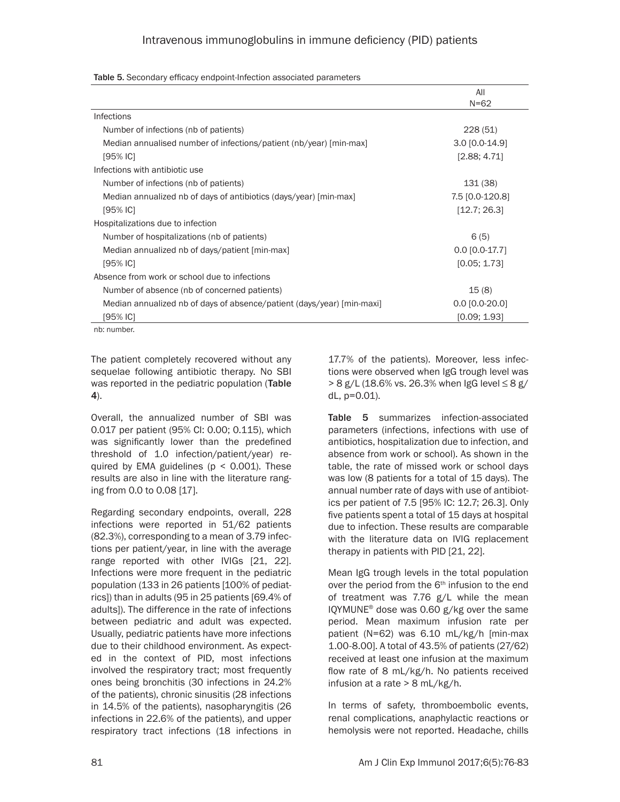|                                                                        | All              |
|------------------------------------------------------------------------|------------------|
|                                                                        | $N = 62$         |
| Infections                                                             |                  |
| Number of infections (nb of patients)                                  | 228(51)          |
| Median annualised number of infections/patient (nb/year) [min-max]     | $3.0$ [0.0-14.9] |
| [95% IC]                                                               | [2.88; 4.71]     |
| Infections with antibiotic use                                         |                  |
| Number of infections (nb of patients)                                  | 131 (38)         |
| Median annualized nb of days of antibiotics (days/year) [min-max]      | 7.5 [0.0-120.8]  |
| [95% IC]                                                               | [12.7; 26.3]     |
| Hospitalizations due to infection                                      |                  |
| Number of hospitalizations (nb of patients)                            | 6(5)             |
| Median annualized nb of days/patient [min-max]                         | $0.0$ [0.0-17.7] |
| [95% IC]                                                               | [0.05; 1.73]     |
| Absence from work or school due to infections                          |                  |
| Number of absence (nb of concerned patients)                           | 15(8)            |
| Median annualized nb of days of absence/patient (days/year) [min-maxi] | $0.0$ [0.0-20.0] |
| 195% IC1                                                               | [0.09; 1.93]     |
| nh: numhar                                                             |                  |

Table 5. Secondary efficacy endpoint-Infection associated parameters

nb: number.

The patient completely recovered without any sequelae following antibiotic therapy. No SBI was reported in the pediatric population (Table 4).

Overall, the annualized number of SBI was 0.017 per patient (95% CI: 0.00; 0.115), which was significantly lower than the predefined threshold of 1.0 infection/patient/year) required by EMA guidelines ( $p < 0.001$ ). These results are also in line with the literature ranging from 0.0 to 0.08 [17].

Regarding secondary endpoints, overall, 228 infections were reported in 51/62 patients (82.3%), corresponding to a mean of 3.79 infections per patient/year, in line with the average range reported with other IVIGs [21, 22]. Infections were more frequent in the pediatric population (133 in 26 patients [100% of pediatrics]) than in adults (95 in 25 patients [69.4% of adults]). The difference in the rate of infections between pediatric and adult was expected. Usually, pediatric patients have more infections due to their childhood environment. As expected in the context of PID, most infections involved the respiratory tract; most frequently ones being bronchitis (30 infections in 24.2% of the patients), chronic sinusitis (28 infections in 14.5% of the patients), nasopharyngitis (26 infections in 22.6% of the patients), and upper respiratory tract infections (18 infections in

17.7% of the patients). Moreover, less infections were observed when IgG trough level was > 8 g/L (18.6% vs. 26.3% when IgG level ≤ 8 g/ dL, p=0.01).

Table 5 summarizes infection-associated parameters (infections, infections with use of antibiotics, hospitalization due to infection, and absence from work or school). As shown in the table, the rate of missed work or school days was low (8 patients for a total of 15 days). The annual number rate of days with use of antibiotics per patient of 7.5 [95% IC: 12.7; 26.3]. Only five patients spent a total of 15 days at hospital due to infection. These results are comparable with the literature data on IVIG replacement therapy in patients with PID [21, 22].

Mean IgG trough levels in the total population over the period from the  $6<sup>th</sup>$  infusion to the end of treatment was 7.76 g/L while the mean IQYMUNE® dose was 0.60 g/kg over the same period. Mean maximum infusion rate per patient (N=62) was 6.10 mL/kg/h [min-max 1.00-8.00]. A total of 43.5% of patients (27/62) received at least one infusion at the maximum flow rate of 8 mL/kg/h. No patients received infusion at a rate > 8 mL/kg/h.

In terms of safety, thromboembolic events, renal complications, anaphylactic reactions or hemolysis were not reported. Headache, chills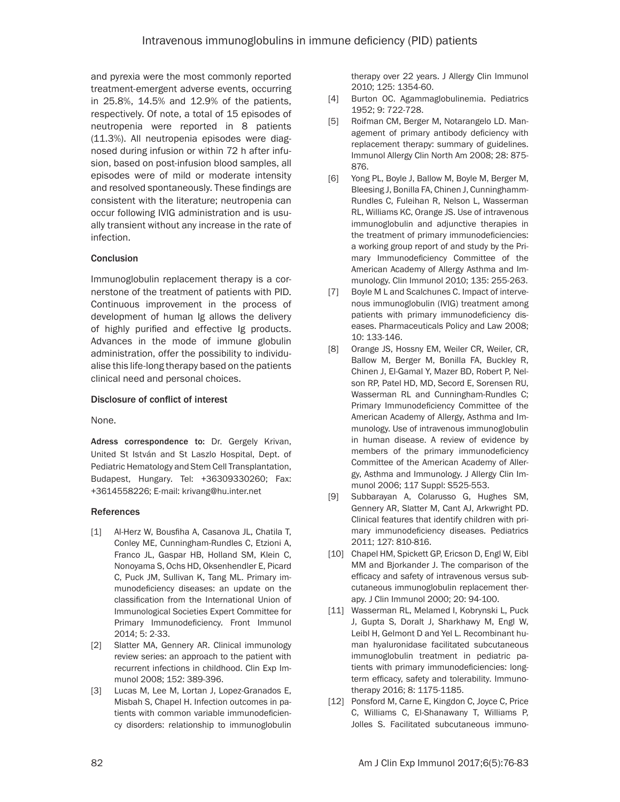and pyrexia were the most commonly reported treatment-emergent adverse events, occurring in 25.8%, 14.5% and 12.9% of the patients, respectively. Of note, a total of 15 episodes of neutropenia were reported in 8 patients (11.3%). All neutropenia episodes were diagnosed during infusion or within 72 h after infusion, based on post-infusion blood samples, all episodes were of mild or moderate intensity and resolved spontaneously. These findings are consistent with the literature; neutropenia can occur following IVIG administration and is usually transient without any increase in the rate of infection.

## **Conclusion**

Immunoglobulin replacement therapy is a cornerstone of the treatment of patients with PID. Continuous improvement in the process of development of human Ig allows the delivery of highly purified and effective Ig products. Advances in the mode of immune globulin administration, offer the possibility to individualise this life-long therapy based on the patients clinical need and personal choices.

#### Disclosure of conflict of interest

None.

Adress correspondence to: Dr. Gergely Krivan, United St István and St Laszlo Hospital, Dept. of Pediatric Hematology and Stem Cell Transplantation, Budapest, Hungary. Tel: +36309330260; Fax: +3614558226; E-mail: [krivang@hu.inter.net](mailto:krivang@hu.inter.net)

#### References

- [1] Al-Herz W, Bousfiha A, Casanova JL, Chatila T, Conley ME, Cunningham-Rundles C, Etzioni A, Franco JL, Gaspar HB, Holland SM, Klein C, Nonoyama S, Ochs HD, Oksenhendler E, Picard C, Puck JM, Sullivan K, Tang ML. Primary immunodeficiency diseases: an update on the classification from the International Union of Immunological Societies Expert Committee for Primary Immunodeficiency. Front Immunol 2014; 5: 2-33.
- [2] Slatter MA, Gennery AR. Clinical immunology review series: an approach to the patient with recurrent infections in childhood. Clin Exp Immunol 2008; 152: 389-396.
- [3] Lucas M, Lee M, Lortan J, Lopez-Granados E, Misbah S, Chapel H. Infection outcomes in patients with common variable immunodeficiency disorders: relationship to immunoglobulin

therapy over 22 years. J Allergy Clin Immunol 2010; 125: 1354-60.

- [4] Burton OC. Agammaglobulinemia. Pediatrics 1952; 9: 722-728.
- [5] Roifman CM, Berger M, Notarangelo LD. Management of primary antibody deficiency with replacement therapy: summary of guidelines. Immunol Allergy Clin North Am 2008; 28: 875- 876.
- [6] Yong PL, Boyle J, Ballow M, Boyle M, Berger M, Bleesing J, Bonilla FA, Chinen J, Cunninghamm-Rundles C, Fuleihan R, Nelson L, Wasserman RL, Williams KC, Orange JS. Use of intravenous immunoglobulin and adjunctive therapies in the treatment of primary immunodeficiencies: a working group report of and study by the Primary Immunodeficiency Committee of the American Academy of Allergy Asthma and Immunology. Clin Immunol 2010; 135: 255-263.
- [7] Boyle M L and Scalchunes C. Impact of intervenous immunoglobulin (IVIG) treatment among patients with primary immunodeficiency diseases. Pharmaceuticals Policy and Law 2008; 10: 133-146.
- [8] Orange JS, Hossny EM, Weiler CR, Weiler, CR, Ballow M, Berger M, Bonilla FA, Buckley R, Chinen J, El-Gamal Y, Mazer BD, Robert P, Nelson RP, Patel HD, MD, Secord E, Sorensen RU, Wasserman RL and Cunningham-Rundles C; Primary Immunodeficiency Committee of the American Academy of Allergy, Asthma and Immunology. Use of intravenous immunoglobulin in human disease. A review of evidence by members of the primary immunodeficiency Committee of the American Academy of Allergy, Asthma and Immunology. J Allergy Clin Immunol 2006; 117 Suppl: S525-553.
- [9] Subbarayan A, Colarusso G, Hughes SM, Gennery AR, Slatter M, Cant AJ, Arkwright PD. Clinical features that identify children with primary immunodeficiency diseases. Pediatrics 2011; 127: 810-816.
- [10] Chapel HM, Spickett GP, Ericson D, Engl W, Eibl MM and Bjorkander J. The comparison of the efficacy and safety of intravenous versus subcutaneous immunoglobulin replacement therapy. J Clin Immunol 2000; 20: 94-100.
- [11] Wasserman RL, Melamed I, Kobrynski L, Puck J, Gupta S, Doralt J, Sharkhawy M, Engl W, Leibl H, Gelmont D and Yel L. Recombinant human hyaluronidase facilitated subcutaneous immunoglobulin treatment in pediatric patients with primary immunodeficiencies: longterm efficacy, safety and tolerability. Immunotherapy 2016; 8: 1175-1185.
- [12] Ponsford M, Carne E, Kingdon C, Joyce C, Price C, Williams C, El-Shanawany T, Williams P, Jolles S. Facilitated subcutaneous immuno-